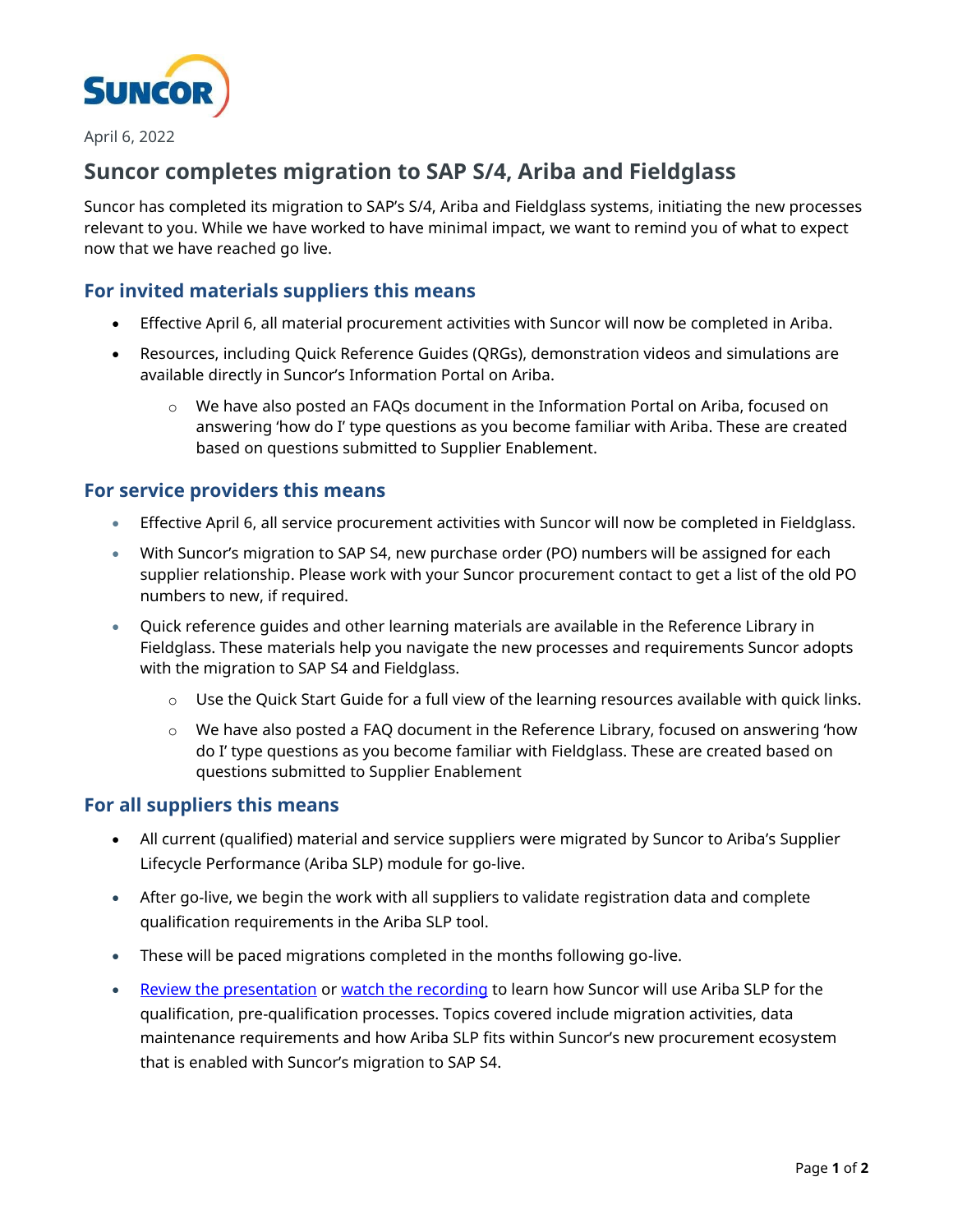

April 6, 2022

# **Suncor completes migration to SAP S/4, Ariba and Fieldglass**

Suncor has completed its migration to SAP's S/4, Ariba and Fieldglass systems, initiating the new processes relevant to you. While we have worked to have minimal impact, we want to remind you of what to expect now that we have reached go live.

## **For invited materials suppliers this means**

- Effective April 6, all material procurement activities with Suncor will now be completed in Ariba.
- Resources, including Quick Reference Guides (QRGs), demonstration videos and simulations are available directly in Suncor's Information Portal on Ariba.
	- o We have also posted an FAQs document in the Information Portal on Ariba, focused on answering 'how do I' type questions as you become familiar with Ariba. These are created based on questions submitted to Supplier Enablement.

### **For service providers this means**

- Effective April 6, all service procurement activities with Suncor will now be completed in Fieldglass.
- With Suncor's migration to SAP S4, new purchase order (PO) numbers will be assigned for each supplier relationship. Please work with your Suncor procurement contact to get a list of the old PO numbers to new, if required.
- Quick reference guides and other learning materials are available in the Reference Library in Fieldglass. These materials help you navigate the new processes and requirements Suncor adopts with the migration to SAP S4 and Fieldglass.
	- $\circ$  Use the Quick Start Guide for a full view of the learning resources available with quick links.
	- $\circ$  We have also posted a FAQ document in the Reference Library, focused on answering 'how do I' type questions as you become familiar with Fieldglass. These are created based on questions submitted to Supplier Enablement

#### **For all suppliers this means**

- All current (qualified) material and service suppliers were migrated by Suncor to Ariba's Supplier Lifecycle Performance (Ariba SLP) module for go-live.
- After go-live, we begin the work with all suppliers to validate registration data and complete qualification requirements in the Ariba SLP tool.
- These will be paced migrations completed in the months following go-live.
- [Review the presentation](https://sustainability-prd-cdn.suncor.com/-/media/project/suncor/files/northern-lights-sustainment/ariba-sap/ariba-slp-suncor-info-session-en.pdf?la=en&modified=20220329) or [watch the recording](https://vimeo.com/691677968/0ec2f141f1) to learn how Suncor will use Ariba SLP for the qualification, pre-qualification processes. Topics covered include migration activities, data maintenance requirements and how Ariba SLP fits within Suncor's new procurement ecosystem that is enabled with Suncor's migration to SAP S4.